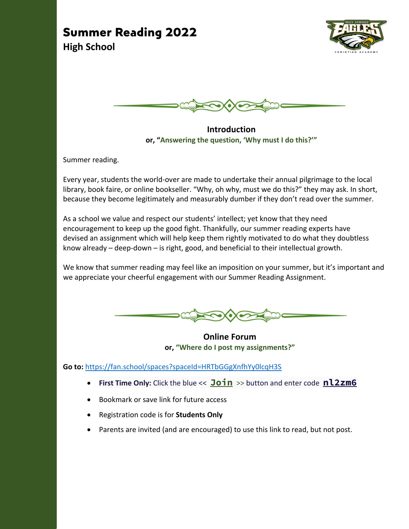### **Summer Reading 2022 High School**





**Introduction or, "Answering the question, 'Why must I do this?'"**

Summer reading.

Every year, students the world-over are made to undertake their annual pilgrimage to the local library, book faire, or online bookseller. "Why, oh why, must we do this?" they may ask. In short, because they become legitimately and measurably dumber if they don't read over the summer.

As a school we value and respect our students' intellect; yet know that they need encouragement to keep up the good fight. Thankfully, our summer reading experts have devised an assignment which will help keep them rightly motivated to do what they doubtless know already – deep-down – is right, good, and beneficial to their intellectual growth.

We know that summer reading may feel like an imposition on your summer, but it's important and we appreciate your cheerful engagement with our Summer Reading Assignment.



**Online Forum or, "Where do I post my assignments?"**

**Go to:** https://fan.school/spaces?spaceId=HRTbGGgXnfhYy0lcqH3S

- **First Time Only:** Click the blue << **Join** >> button and enter code **nl2zm6**
- Bookmark or save link for future access
- Registration code is for **Students Only**
- Parents are invited (and are encouraged) to use this link to read, but not post.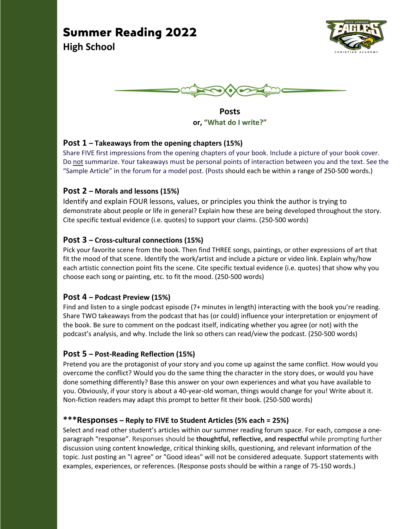# **Summer Reading 2022**



**High School**



**Posts or, "What do I write?"**

### **Post 1 – Takeaways from the opening chapters (15%)**

Share FIVE first impressions from the opening chapters of your book. Include a picture of your book cover. Do not summarize. Your takeaways must be personal points of interaction between you and the text. See the "Sample Article" in the forum for a model post. (Posts should each be within a range of 250-500 words.)

### **Post 2 – Morals and lessons (15%)**

Identify and explain FOUR lessons, values, or principles you think the author is trying to demonstrate about people or life in general? Explain how these are being developed throughout the story. Cite specific textual evidence (i.e. quotes) to support your claims. (250-500 words)

### **Post 3 – Cross-cultural connections (15%)**

Pick your favorite scene from the book. Then find THREE songs, paintings, or other expressions of art that fit the mood of that scene. Identify the work/artist and include a picture or video link. Explain why/how each artistic connection point fits the scene. Cite specific textual evidence (i.e. quotes) that show why you choose each song or painting, etc. to fit the mood. (250-500 words)

### **Post 4 – Podcast Preview (15%)**

Find and listen to a single podcast episode (7+ minutes in length) interacting with the book you're reading. Share TWO takeaways from the podcast that has (or could) influence your interpretation or enjoyment of the book. Be sure to comment on the podcast itself, indicating whether you agree (or not) with the podcast's analysis, and why. Include the link so others can read/view the podcast. (250-500 words)

### **Post 5 – Post-Reading Reflection (15%)**

Pretend you are the protagonist of your story and you come up against the same conflict. How would you overcome the conflict? Would you do the same thing the character in the story does, or would you have done something differently? Base this answer on your own experiences and what you have available to you. Obviously, if your story is about a 40-year-old woman, things would change for you! Write about it. Non-fiction readers may adapt this prompt to better fit their book. (250-500 words)

### **\*\*\*Responses – Reply to FIVE to Student Articles (5% each = 25%)**

Select and read other student's articles within our summer reading forum space. For each, compose a oneparagraph "response". Responses should be **thoughtful, reflective, and respectful** while prompting further discussion using content knowledge, critical thinking skills, questioning, and relevant information of the topic. Just posting an "I agree" or "Good ideas" will not be considered adequate. Support statements with examples, experiences, or references. (Response posts should be within a range of 75-150 words.)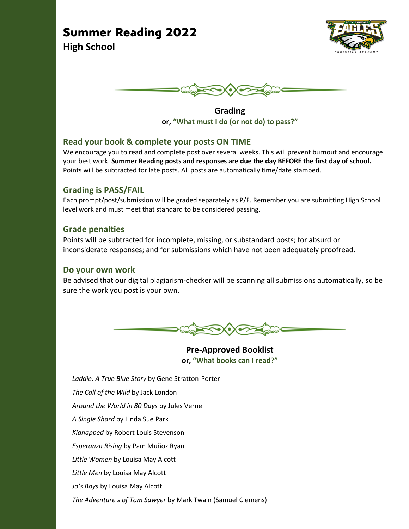## **Summer Reading 2022**







**Grading or, "What must I do (or not do) to pass?"**

### **Read your book & complete your posts ON TIME**

We encourage you to read and complete post over several weeks. This will prevent burnout and encourage your best work. **Summer Reading posts and responses are due the day BEFORE the first day of school.** Points will be subtracted for late posts. All posts are automatically time/date stamped.

### **Grading is PASS/FAIL**

Each prompt/post/submission will be graded separately as P/F. Remember you are submitting High School level work and must meet that standard to be considered passing.

### **Grade penalties**

Points will be subtracted for incomplete, missing, or substandard posts; for absurd or inconsiderate responses; and for submissions which have not been adequately proofread.

### **Do your own work**

Be advised that our digital plagiarism-checker will be scanning all submissions automatically, so be sure the work you post is your own.



**Pre-Approved Booklist or, "What books can I read?"**

*Laddie: A True Blue Story* by Gene Stratton-Porter *The Call of the Wild* by Jack London *Around the World in 80 Days* by Jules Verne *A Single Shard* by Linda Sue Park *Kidnapped* by Robert Louis Stevenson *Esperanza Rising* by Pam Muñoz Ryan *Little Women* by Louisa May Alcott *Little Men* by Louisa May Alcott *Jo's Boys* by Louisa May Alcott *The Adventure s of Tom Sawyer* by Mark Twain (Samuel Clemens)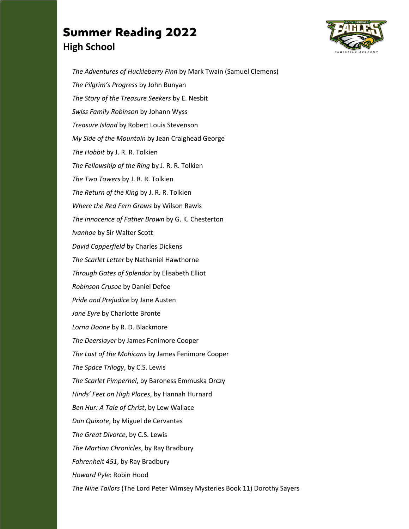## **Summer Reading 2022 High School**



*The Adventures of Huckleberry Finn* by Mark Twain (Samuel Clemens) *The Pilgrim's Progress* by John Bunyan *The Story of the Treasure Seekers* by E. Nesbit *Swiss Family Robinson* by Johann Wyss *Treasure Island* by Robert Louis Stevenson *My Side of the Mountain* by Jean Craighead George *The Hobbit* by J. R. R. Tolkien *The Fellowship of the Ring* by J. R. R. Tolkien *The Two Towers* by J. R. R. Tolkien *The Return of the King* by J. R. R. Tolkien *Where the Red Fern Grows* by Wilson Rawls *The Innocence of Father Brown* by G. K. Chesterton *Ivanhoe* by Sir Walter Scott *David Copperfield* by Charles Dickens *The Scarlet Letter* by Nathaniel Hawthorne *Through Gates of Splendor* by Elisabeth Elliot *Robinson Crusoe* by Daniel Defoe *Pride and Prejudice* by Jane Austen *Jane Eyre* by Charlotte Bronte *Lorna Doone* by R. D. Blackmore *The Deerslayer* by James Fenimore Cooper *The Last of the Mohicans* by James Fenimore Cooper *The Space Trilogy*, by C.S. Lewis *The Scarlet Pimpernel*, by Baroness Emmuska Orczy *Hinds' Feet on High Places*, by Hannah Hurnard *Ben Hur: A Tale of Christ*, by Lew Wallace *Don Quixote*, by Miguel de Cervantes *The Great Divorce*, by C.S. Lewis *The Martian Chronicles*, by Ray Bradbury *Fahrenheit 451*, by Ray Bradbury *Howard Pyle*: Robin Hood *The Nine Tailors* (The Lord Peter Wimsey Mysteries Book 11) Dorothy Sayers